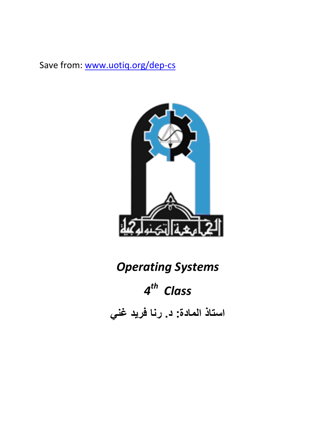Save from: [www.uotiq.org/dep-cs](http://www.uotiq.org/dep-cs)



# *Operating Systems*

# *4 th Class*

**استاذ المادة: د. رنا فريد غني**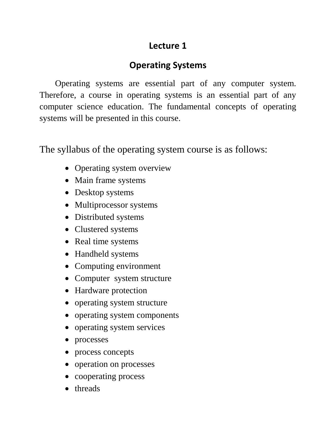# **Lecture 1**

# **Operating Systems**

Operating systems are essential part of any computer system. Therefore, a course in operating systems is an essential part of any computer science education. The fundamental concepts of operating systems will be presented in this course.

The syllabus of the operating system course is as follows:

- Operating system overview
- Main frame systems
- Desktop systems
- Multiprocessor systems
- Distributed systems
- Clustered systems
- Real time systems
- Handheld systems
- Computing environment
- Computer system structure
- Hardware protection
- operating system structure
- operating system components
- operating system services
- processes
- process concepts
- operation on processes
- cooperating process
- threads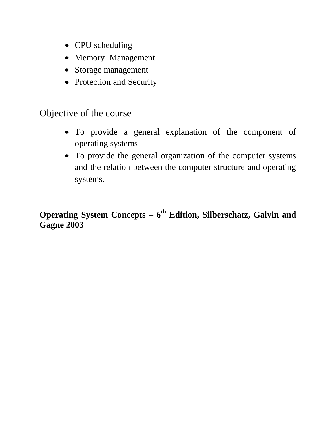- CPU scheduling
- Memory Management
- Storage management
- Protection and Security

# Objective of the course

- To provide a general explanation of the component of operating systems
- To provide the general organization of the computer systems and the relation between the computer structure and operating systems.

# **Operating System Concepts – 6 th Edition, Silberschatz, Galvin and Gagne 2003**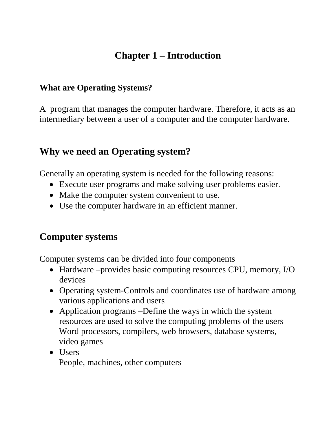# **Chapter 1 – Introduction**

#### **What are Operating Systems?**

A program that manages the computer hardware. Therefore, it acts as an intermediary between a user of a computer and the computer hardware.

# **Why we need an Operating system?**

Generally an operating system is needed for the following reasons:

- Execute user programs and make solving user problems easier.
- Make the computer system convenient to use.
- Use the computer hardware in an efficient manner.

# **Computer systems**

Computer systems can be divided into four components

- Hardware –provides basic computing resources CPU, memory, I/O devices
- Operating system-Controls and coordinates use of hardware among various applications and users
- Application programs –Define the ways in which the system resources are used to solve the computing problems of the users Word processors, compilers, web browsers, database systems, video games
- Users People, machines, other computers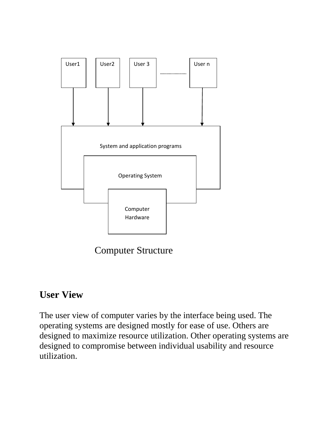

Computer Structure

# **User View**

The user view of computer varies by the interface being used. The operating systems are designed mostly for ease of use. Others are designed to maximize resource utilization. Other operating systems are designed to compromise between individual usability and resource utilization.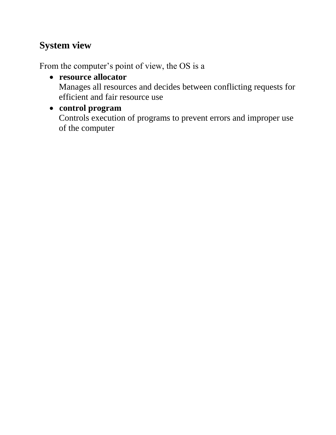# **System view**

From the computer's point of view, the OS is a

- **resource allocator** Manages all resources and decides between conflicting requests for efficient and fair resource use
- **control program**

Controls execution of programs to prevent errors and improper use of the computer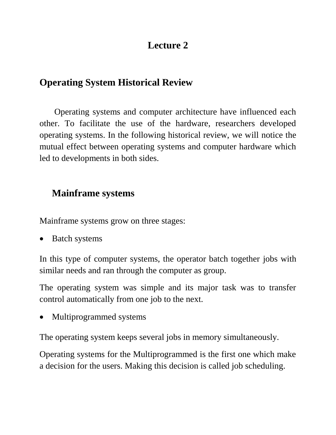# **Lecture 2**

# **Operating System Historical Review**

Operating systems and computer architecture have influenced each other. To facilitate the use of the hardware, researchers developed operating systems. In the following historical review, we will notice the mutual effect between operating systems and computer hardware which led to developments in both sides.

# **Mainframe systems**

Mainframe systems grow on three stages:

• Batch systems

In this type of computer systems, the operator batch together jobs with similar needs and ran through the computer as group.

The operating system was simple and its major task was to transfer control automatically from one job to the next.

Multiprogrammed systems

The operating system keeps several jobs in memory simultaneously.

Operating systems for the Multiprogrammed is the first one which make a decision for the users. Making this decision is called job scheduling.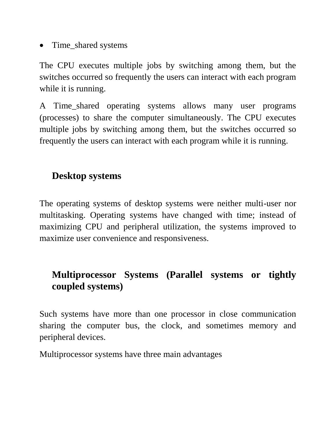• Time\_shared systems

The CPU executes multiple jobs by switching among them, but the switches occurred so frequently the users can interact with each program while it is running.

A Time\_shared operating systems allows many user programs (processes) to share the computer simultaneously. The CPU executes multiple jobs by switching among them, but the switches occurred so frequently the users can interact with each program while it is running.

# **Desktop systems**

The operating systems of desktop systems were neither multi-user nor multitasking. Operating systems have changed with time; instead of maximizing CPU and peripheral utilization, the systems improved to maximize user convenience and responsiveness.

# **Multiprocessor Systems (Parallel systems or tightly coupled systems)**

Such systems have more than one processor in close communication sharing the computer bus, the clock, and sometimes memory and peripheral devices.

Multiprocessor systems have three main advantages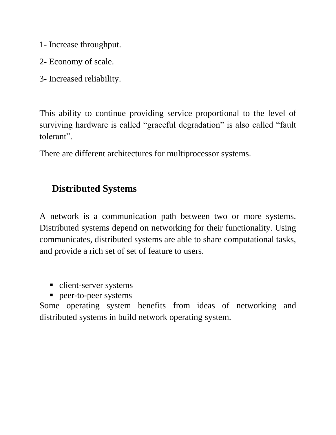- 1- Increase throughput.
- 2- Economy of scale.
- 3- Increased reliability.

This ability to continue providing service proportional to the level of surviving hardware is called "graceful degradation" is also called "fault tolerant".

There are different architectures for multiprocessor systems.

# **Distributed Systems**

A network is a communication path between two or more systems. Distributed systems depend on networking for their functionality. Using communicates, distributed systems are able to share computational tasks, and provide a rich set of set of feature to users.

- client-server systems
- **P** peer-to-peer systems

Some operating system benefits from ideas of networking and distributed systems in build network operating system.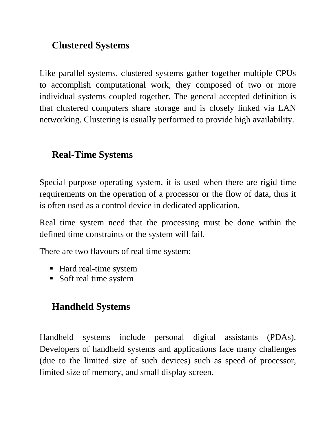# **Clustered Systems**

Like parallel systems, clustered systems gather together multiple CPUs to accomplish computational work, they composed of two or more individual systems coupled together. The general accepted definition is that clustered computers share storage and is closely linked via LAN networking. Clustering is usually performed to provide high availability.

# **Real-Time Systems**

Special purpose operating system, it is used when there are rigid time requirements on the operation of a processor or the flow of data, thus it is often used as a control device in dedicated application.

Real time system need that the processing must be done within the defined time constraints or the system will fail.

There are two flavours of real time system:

- Hard real-time system
- Soft real time system

# **Handheld Systems**

Handheld systems include personal digital assistants (PDAs). Developers of handheld systems and applications face many challenges (due to the limited size of such devices) such as speed of processor, limited size of memory, and small display screen.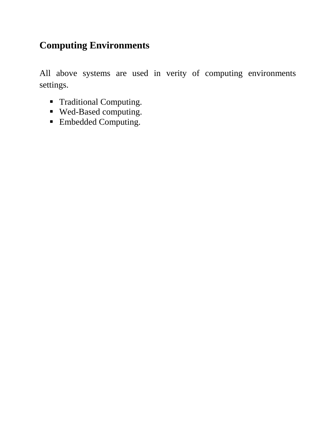# **Computing Environments**

All above systems are used in verity of computing environments settings.

- Traditional Computing.
- Wed-Based computing.
- Embedded Computing.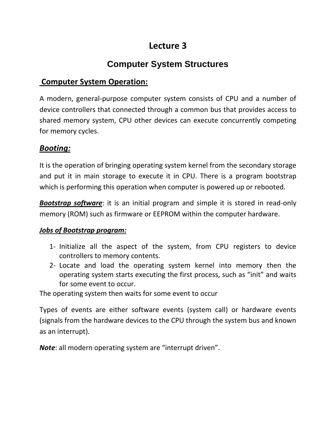# **Lecture 3**

# **Computer System Structures**

#### **Computer System Operation:**

A modern, general-purpose computer system consists of CPU and a number of device controllers that connected through a common bus that provides access to shared memory system, CPU other devices can execute concurrently competing for memory cycles.

#### *Booting:*

It is the operation of bringing operating system kernel from the secondary storage and put it in main storage to execute it in CPU. There is a program bootstrap which is performing this operation when computer is powered up or rebooted.

*Bootstrap software*: it is an initial program and simple it is stored in read-only memory (ROM) such as firmware or EEPROM within the computer hardware.

#### *Jobs of Bootstrap program:*

- 1- Initialize all the aspect of the system, from CPU registers to device controllers to memory contents.
- 2- Locate and load the operating system kernel into memory then the operating system starts executing the first process, such as "init" and waits for some event to occur.

The operating system then waits for some event to occur

Types of events are either software events (system call) or hardware events (signals from the hardware devices to the CPU through the system bus and known as an interrupt).

*Note*: all modern operating system are "interrupt driven".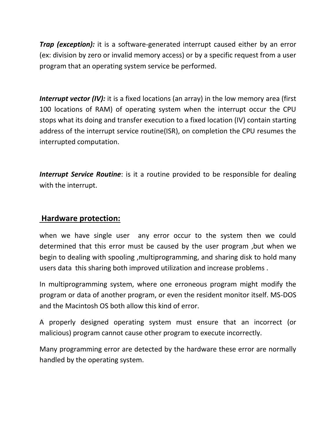*Trap (exception):* it is a software-generated interrupt caused either by an error (ex: division by zero or invalid memory access) or by a specific request from a user program that an operating system service be performed.

**Interrupt vector (IV):** it is a fixed locations (an array) in the low memory area (first 100 locations of RAM) of operating system when the interrupt occur the CPU stops what its doing and transfer execution to a fixed location (IV) contain starting address of the interrupt service routine(ISR), on completion the CPU resumes the interrupted computation.

*Interrupt Service Routine*: is it a routine provided to be responsible for dealing with the interrupt.

#### **Hardware protection:**

when we have single user any error occur to the system then we could determined that this error must be caused by the user program ,but when we begin to dealing with spooling ,multiprogramming, and sharing disk to hold many users data this sharing both improved utilization and increase problems .

In multiprogramming system, where one erroneous program might modify the program or data of another program, or even the resident monitor itself. MS-DOS and the Macintosh OS both allow this kind of error.

A properly designed operating system must ensure that an incorrect (or malicious) program cannot cause other program to execute incorrectly.

Many programming error are detected by the hardware these error are normally handled by the operating system.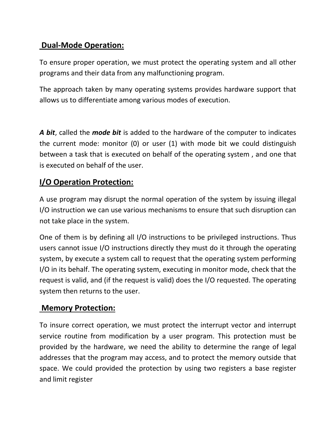#### **Dual-Mode Operation:**

To ensure proper operation, we must protect the operating system and all other programs and their data from any malfunctioning program.

The approach taken by many operating systems provides hardware support that allows us to differentiate among various modes of execution.

*A bit*, called the *mode bit* is added to the hardware of the computer to indicates the current mode: monitor (0) or user (1) with mode bit we could distinguish between a task that is executed on behalf of the operating system , and one that is executed on behalf of the user.

#### **I/O Operation Protection:**

A use program may disrupt the normal operation of the system by issuing illegal I/O instruction we can use various mechanisms to ensure that such disruption can not take place in the system.

One of them is by defining all I/O instructions to be privileged instructions. Thus users cannot issue I/O instructions directly they must do it through the operating system, by execute a system call to request that the operating system performing I/O in its behalf. The operating system, executing in monitor mode, check that the request is valid, and (if the request is valid) does the I/O requested. The operating system then returns to the user.

#### **Memory Protection:**

To insure correct operation, we must protect the interrupt vector and interrupt service routine from modification by a user program. This protection must be provided by the hardware, we need the ability to determine the range of legal addresses that the program may access, and to protect the memory outside that space. We could provided the protection by using two registers a base register and limit register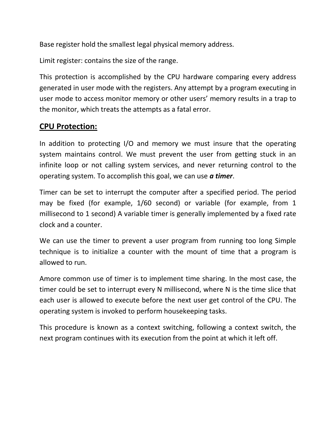Base register hold the smallest legal physical memory address.

Limit register: contains the size of the range.

This protection is accomplished by the CPU hardware comparing every address generated in user mode with the registers. Any attempt by a program executing in user mode to access monitor memory or other users' memory results in a trap to the monitor, which treats the attempts as a fatal error.

#### **CPU Protection:**

In addition to protecting I/O and memory we must insure that the operating system maintains control. We must prevent the user from getting stuck in an infinite loop or not calling system services, and never returning control to the operating system. To accomplish this goal, we can use *a timer*.

Timer can be set to interrupt the computer after a specified period. The period may be fixed (for example, 1/60 second) or variable (for example, from 1 millisecond to 1 second) A variable timer is generally implemented by a fixed rate clock and a counter.

We can use the timer to prevent a user program from running too long Simple technique is to initialize a counter with the mount of time that a program is allowed to run.

Amore common use of timer is to implement time sharing. In the most case, the timer could be set to interrupt every N millisecond, where N is the time slice that each user is allowed to execute before the next user get control of the CPU. The operating system is invoked to perform housekeeping tasks.

This procedure is known as a context switching, following a context switch, the next program continues with its execution from the point at which it left off.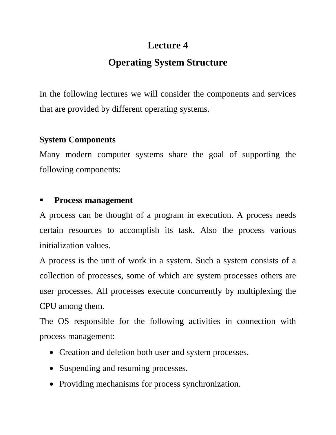# **Lecture 4**

# **Operating System Structure**

In the following lectures we will consider the components and services that are provided by different operating systems.

## **System Components**

Many modern computer systems share the goal of supporting the following components:

## **Process management**

A process can be thought of a program in execution. A process needs certain resources to accomplish its task. Also the process various initialization values.

A process is the unit of work in a system. Such a system consists of a collection of processes, some of which are system processes others are user processes. All processes execute concurrently by multiplexing the CPU among them.

The OS responsible for the following activities in connection with process management:

- Creation and deletion both user and system processes.
- Suspending and resuming processes.
- Providing mechanisms for process synchronization.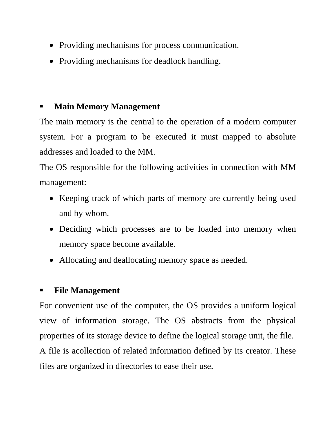- Providing mechanisms for process communication.
- Providing mechanisms for deadlock handling.

# **Main Memory Management**

The main memory is the central to the operation of a modern computer system. For a program to be executed it must mapped to absolute addresses and loaded to the MM.

The OS responsible for the following activities in connection with MM management:

- Keeping track of which parts of memory are currently being used and by whom.
- Deciding which processes are to be loaded into memory when memory space become available.
- Allocating and deallocating memory space as needed.

# **File Management**

For convenient use of the computer, the OS provides a uniform logical view of information storage. The OS abstracts from the physical properties of its storage device to define the logical storage unit, the file. A file is acollection of related information defined by its creator. These files are organized in directories to ease their use.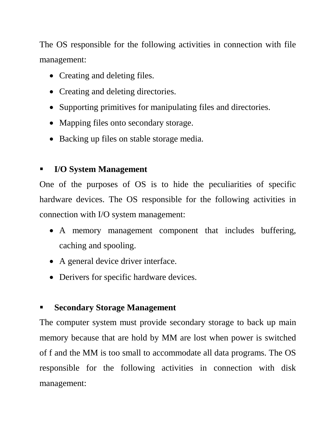The OS responsible for the following activities in connection with file management:

- Creating and deleting files.
- Creating and deleting directories.
- Supporting primitives for manipulating files and directories.
- Mapping files onto secondary storage.
- Backing up files on stable storage media.

# **I/O System Management**

One of the purposes of OS is to hide the peculiarities of specific hardware devices. The OS responsible for the following activities in connection with I/O system management:

- A memory management component that includes buffering, caching and spooling.
- A general device driver interface.
- Derivers for specific hardware devices.

# **Secondary Storage Management**

The computer system must provide secondary storage to back up main memory because that are hold by MM are lost when power is switched of f and the MM is too small to accommodate all data programs. The OS responsible for the following activities in connection with disk management: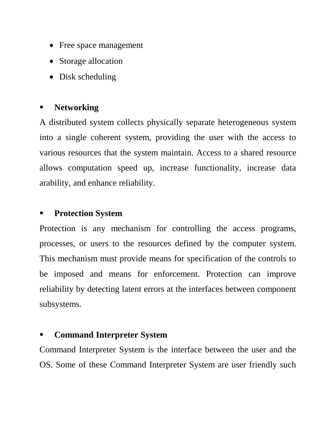- Free space management
- Storage allocation
- Disk scheduling

#### **Networking**

A distributed system collects physically separate heterogeneous system into a single coherent system, providing the user with the access to various resources that the system maintain. Access to a shared resource allows computation speed up, increase functionality, increase data arability, and enhance reliability.

#### **Protection System**

Protection is any mechanism for controlling the access programs, processes, or users to the resources defined by the computer system. This mechanism must provide means for specification of the controls to be imposed and means for enforcement. Protection can improve reliability by detecting latent errors at the interfaces between component subsystems.

#### **Command Interpreter System**

Command Interpreter System is the interface between the user and the OS. Some of these Command Interpreter System are user friendly such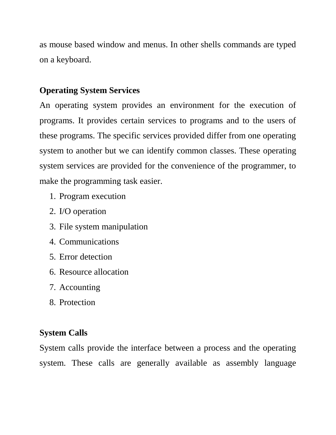as mouse based window and menus. In other shells commands are typed on a keyboard.

## **Operating System Services**

An operating system provides an environment for the execution of programs. It provides certain services to programs and to the users of these programs. The specific services provided differ from one operating system to another but we can identify common classes. These operating system services are provided for the convenience of the programmer, to make the programming task easier.

- 1. Program execution
- 2. I/O operation
- 3. File system manipulation
- 4. Communications
- 5. Error detection
- 6. Resource allocation
- 7. Accounting
- 8. Protection

## **System Calls**

System calls provide the interface between a process and the operating system. These calls are generally available as assembly language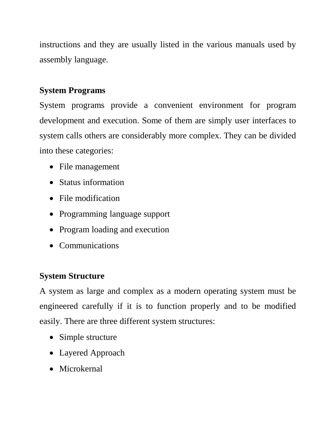instructions and they are usually listed in the various manuals used by assembly language.

# **System Programs**

System programs provide a convenient environment for program development and execution. Some of them are simply user interfaces to system calls others are considerably more complex. They can be divided into these categories:

- File management
- Status information
- File modification
- Programming language support
- Program loading and execution
- Communications

#### **System Structure**

A system as large and complex as a modern operating system must be engineered carefully if it is to function properly and to be modified easily. There are three different system structures:

- Simple structure
- Layered Approach
- Microkernal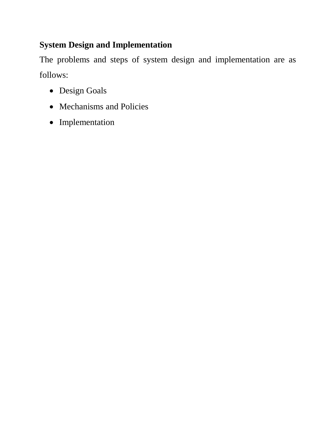# **System Design and Implementation**

The problems and steps of system design and implementation are as follows:

- Design Goals
- Mechanisms and Policies
- Implementation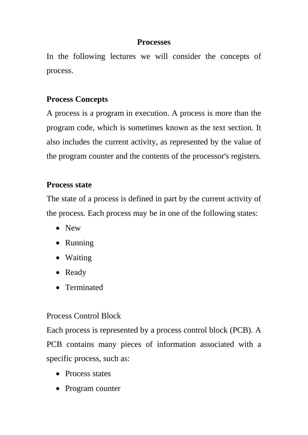#### **Processes**

In the following lectures we will consider the concepts of process.

## **Process Concepts**

A process is a program in execution. A process is more than the program code, which is sometimes known as the text section. It also includes the current activity, as represented by the value of the program counter and the contents of the processor's registers.

#### **Process state**

The state of a process is defined in part by the current activity of the process. Each process may be in one of the following states:

- New
- Running
- Waiting
- Ready
- Terminated

## Process Control Block

Each process is represented by a process control block (PCB). A PCB contains many pieces of information associated with a specific process, such as:

- Process states
- Program counter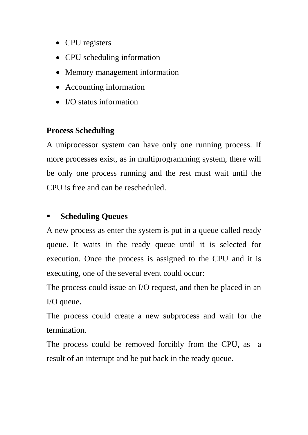- CPU registers
- CPU scheduling information
- Memory management information
- Accounting information
- I/O status information

## **Process Scheduling**

A uniprocessor system can have only one running process. If more processes exist, as in multiprogramming system, there will be only one process running and the rest must wait until the CPU is free and can be rescheduled.

# **Scheduling Queues**

A new process as enter the system is put in a queue called ready queue. It waits in the ready queue until it is selected for execution. Once the process is assigned to the CPU and it is executing, one of the several event could occur:

The process could issue an I/O request, and then be placed in an I/O queue.

The process could create a new subprocess and wait for the termination.

The process could be removed forcibly from the CPU, as a result of an interrupt and be put back in the ready queue.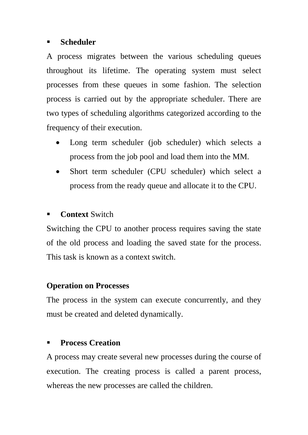#### **Scheduler**

A process migrates between the various scheduling queues throughout its lifetime. The operating system must select processes from these queues in some fashion. The selection process is carried out by the appropriate scheduler. There are two types of scheduling algorithms categorized according to the frequency of their execution.

- Long term scheduler (job scheduler) which selects a process from the job pool and load them into the MM.
- Short term scheduler (CPU scheduler) which select a process from the ready queue and allocate it to the CPU.

# **Context** Switch

Switching the CPU to another process requires saving the state of the old process and loading the saved state for the process. This task is known as a context switch.

## **Operation on Processes**

The process in the system can execute concurrently, and they must be created and deleted dynamically.

## **Process Creation**

A process may create several new processes during the course of execution. The creating process is called a parent process, whereas the new processes are called the children.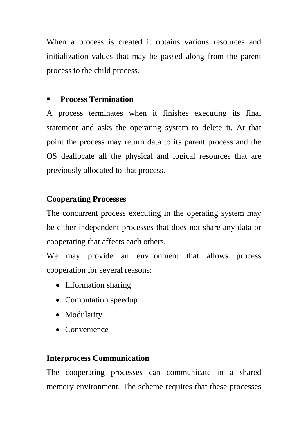When a process is created it obtains various resources and initialization values that may be passed along from the parent process to the child process.

## **Process Termination**

A process terminates when it finishes executing its final statement and asks the operating system to delete it. At that point the process may return data to its parent process and the OS deallocate all the physical and logical resources that are previously allocated to that process.

## **Cooperating Processes**

The concurrent process executing in the operating system may be either independent processes that does not share any data or cooperating that affects each others.

We may provide an environment that allows process cooperation for several reasons:

- Information sharing
- Computation speedup
- Modularity
- Convenience

#### **Interprocess Communication**

The cooperating processes can communicate in a shared memory environment. The scheme requires that these processes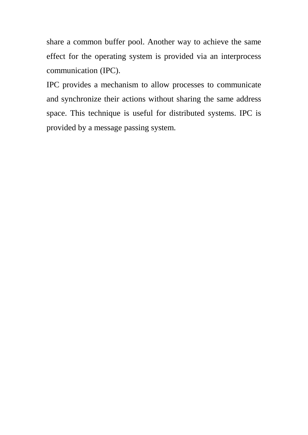share a common buffer pool. Another way to achieve the same effect for the operating system is provided via an interprocess communication (IPC).

IPC provides a mechanism to allow processes to communicate and synchronize their actions without sharing the same address space. This technique is useful for distributed systems. IPC is provided by a message passing system.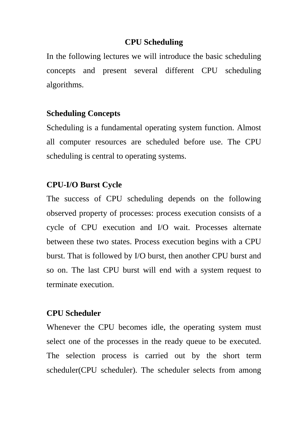#### **CPU Scheduling**

In the following lectures we will introduce the basic scheduling concepts and present several different CPU scheduling algorithms.

#### **Scheduling Concepts**

Scheduling is a fundamental operating system function. Almost all computer resources are scheduled before use. The CPU scheduling is central to operating systems.

#### **CPU-I/O Burst Cycle**

The success of CPU scheduling depends on the following observed property of processes: process execution consists of a cycle of CPU execution and I/O wait. Processes alternate between these two states. Process execution begins with a CPU burst. That is followed by I/O burst, then another CPU burst and so on. The last CPU burst will end with a system request to terminate execution.

#### **CPU Scheduler**

Whenever the CPU becomes idle, the operating system must select one of the processes in the ready queue to be executed. The selection process is carried out by the short term scheduler(CPU scheduler). The scheduler selects from among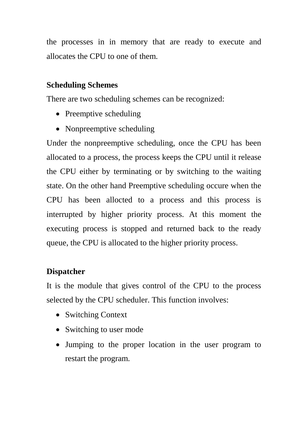the processes in in memory that are ready to execute and allocates the CPU to one of them.

#### **Scheduling Schemes**

There are two scheduling schemes can be recognized:

- Preemptive scheduling
- Nonpreemptive scheduling

Under the nonpreemptive scheduling, once the CPU has been allocated to a process, the process keeps the CPU until it release the CPU either by terminating or by switching to the waiting state. On the other hand Preemptive scheduling occure when the CPU has been allocted to a process and this process is interrupted by higher priority process. At this moment the executing process is stopped and returned back to the ready queue, the CPU is allocated to the higher priority process.

## **Dispatcher**

It is the module that gives control of the CPU to the process selected by the CPU scheduler. This function involves:

- Switching Context
- Switching to user mode
- Jumping to the proper location in the user program to restart the program.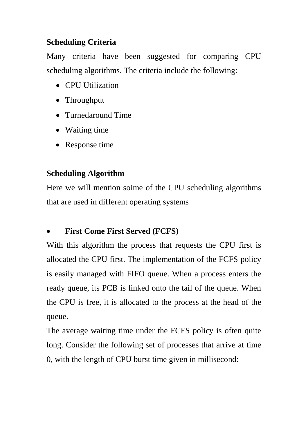# **Scheduling Criteria**

Many criteria have been suggested for comparing CPU scheduling algorithms. The criteria include the following:

- CPU Utilization
- Throughput
- Turnedaround Time
- Waiting time
- Response time

# **Scheduling Algorithm**

Here we will mention soime of the CPU scheduling algorithms that are used in different operating systems

# **First Come First Served (FCFS)**

With this algorithm the process that requests the CPU first is allocated the CPU first. The implementation of the FCFS policy is easily managed with FIFO queue. When a process enters the ready queue, its PCB is linked onto the tail of the queue. When the CPU is free, it is allocated to the process at the head of the queue.

The average waiting time under the FCFS policy is often quite long. Consider the following set of processes that arrive at time 0, with the length of CPU burst time given in millisecond: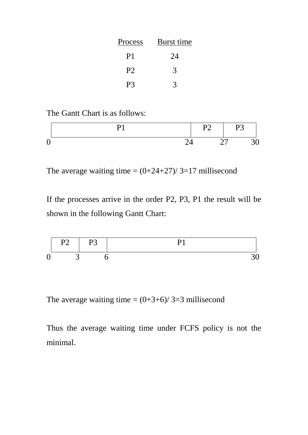| Process        | Burst time |
|----------------|------------|
| P <sub>1</sub> | 24         |
| P <sub>2</sub> | 3          |
| P3             |            |

The Gantt Chart is as follows:

|  | P2 | <b>P3</b> |  |
|--|----|-----------|--|
|  |    | 27        |  |

The average waiting time  $=(0+24+27)/3=17$  millisecond

If the processes arrive in the order P2, P3, P1 the result will be shown in the following Gantt Chart:



The average waiting time  $=(0+3+6)/3=3$  millisecond

Thus the average waiting time under FCFS policy is not the minimal.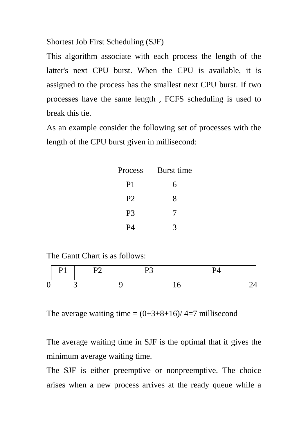Shortest Job First Scheduling (SJF)

This algorithm associate with each process the length of the latter's next CPU burst. When the CPU is available, it is assigned to the process has the smallest next CPU burst. If two processes have the same length , FCFS scheduling is used to break this tie.

As an example consider the following set of processes with the length of the CPU burst given in millisecond:

| Process        | Burst time |
|----------------|------------|
| P <sub>1</sub> | 6          |
| P <sub>2</sub> | 8          |
| P <sub>3</sub> | 7          |
| P4             |            |

The Gantt Chart is as follows:

| ., |  |  |  |
|----|--|--|--|
|    |  |  |  |

The average waiting time  $=(0+3+8+16)/4=7$  millisecond

The average waiting time in SJF is the optimal that it gives the minimum average waiting time.

The SJF is either preemptive or nonpreemptive. The choice arises when a new process arrives at the ready queue while a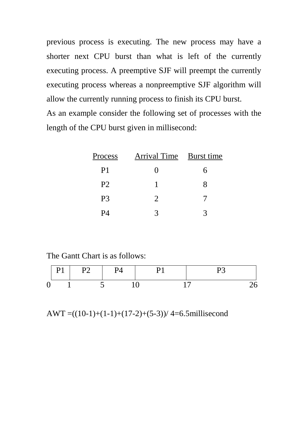previous process is executing. The new process may have a shorter next CPU burst than what is left of the currently executing process. A preemptive SJF will preempt the currently executing process whereas a nonpreemptive SJF algorithm will allow the currently running process to finish its CPU burst. As an example consider the following set of processes with the length of the CPU burst given in millisecond:

| Process        | Arrival Time Burst time |   |
|----------------|-------------------------|---|
| P <sub>1</sub> |                         | h |
| P <sub>2</sub> |                         | X |
| P <sub>3</sub> | $\mathcal{D}_{\cdot}$   |   |
| PД             |                         |   |

The Gantt Chart is as follows:

|   | P2 | <b>P4</b> |  |
|---|----|-----------|--|
| 0 |    |           |  |

AWT = $((10-1)+(1-1)+(17-2)+(5-3))/4=6.5$ millisecond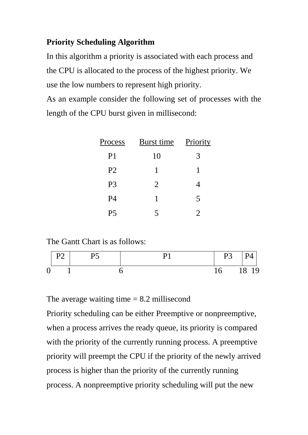# **Priority Scheduling Algorithm**

In this algorithm a priority is associated with each process and the CPU is allocated to the process of the highest priority. We use the low numbers to represent high priority.

As an example consider the following set of processes with the length of the CPU burst given in millisecond:

| Process        | Burst time | Priority       |
|----------------|------------|----------------|
| P <sub>1</sub> | 10         | 3              |
| P <sub>2</sub> | 1          | 1              |
| P <sub>3</sub> | 2          | 4              |
| <b>P4</b>      | 1          | 5              |
| P <sub>5</sub> | 5          | $\overline{2}$ |

The Gantt Chart is as follows:



The average waiting time  $= 8.2$  millisecond

Priority scheduling can be either Preemptive or nonpreemptive, when a process arrives the ready queue, its priority is compared with the priority of the currently running process. A preemptive priority will preempt the CPU if the priority of the newly arrived process is higher than the priority of the currently running process. A nonpreemptive priority scheduling will put the new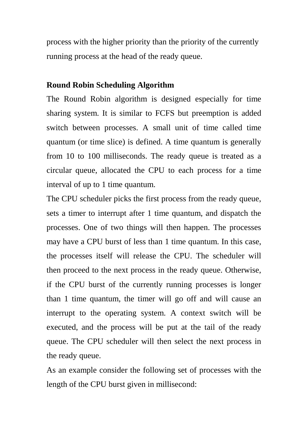process with the higher priority than the priority of the currently running process at the head of the ready queue.

#### **Round Robin Scheduling Algorithm**

The Round Robin algorithm is designed especially for time sharing system. It is similar to FCFS but preemption is added switch between processes. A small unit of time called time quantum (or time slice) is defined. A time quantum is generally from 10 to 100 milliseconds. The ready queue is treated as a circular queue, allocated the CPU to each process for a time interval of up to 1 time quantum.

The CPU scheduler picks the first process from the ready queue, sets a timer to interrupt after 1 time quantum, and dispatch the processes. One of two things will then happen. The processes may have a CPU burst of less than 1 time quantum. In this case, the processes itself will release the CPU. The scheduler will then proceed to the next process in the ready queue. Otherwise, if the CPU burst of the currently running processes is longer than 1 time quantum, the timer will go off and will cause an interrupt to the operating system. A context switch will be executed, and the process will be put at the tail of the ready queue. The CPU scheduler will then select the next process in the ready queue.

As an example consider the following set of processes with the length of the CPU burst given in millisecond: